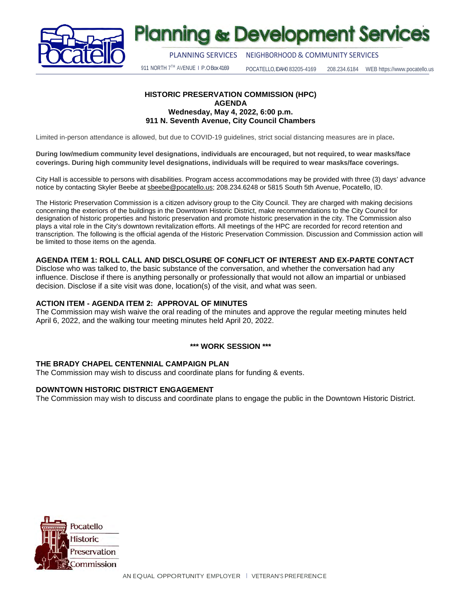

# **Planning & Development Services**

PLANNING SERVICES NEIGHBORHOOD& COMMUNITY SERVICES

911 NORTH 7TH AVENUE | P.O Box 4169 POCATELLO, IDAH0 83205-4169 208.234.6184 WEB https://www.pocatello.us

#### **HISTORIC PRESERVATION COMMISSION (HPC) AGENDA Wednesday, May 4, 2022, 6:00 p.m. 911 N. Seventh Avenue, City Council Chambers**

Limited in-person attendance is allowed, but due to COVID-19 guidelines, strict social distancing measures are in place**.** 

**During low/medium community level designations, individuals are encouraged, but not required, to wear masks/face coverings. During high community level designations, individuals will be required to wear masks/face coverings.**

City Hall is accessible to persons with disabilities. Program access accommodations may be provided with three (3) days' advance notice by contacting Skyler Beebe at [sbeebe@pocatello.us;](mailto:sbeebe@pocatello.us) 208.234.6248 or 5815 South 5th Avenue, Pocatello, ID.

The Historic Preservation Commission is a citizen advisory group to the City Council. They are charged with making decisions concerning the exteriors of the buildings in the Downtown Historic District, make recommendations to the City Council for designation of historic properties and historic preservation and promote historic preservation in the city. The Commission also plays a vital role in the City's downtown revitalization efforts. All meetings of the HPC are recorded for record retention and transcription. The following is the official agenda of the Historic Preservation Commission. Discussion and Commission action will be limited to those items on the agenda.

## **AGENDA ITEM 1: ROLL CALL AND DISCLOSURE OF CONFLICT OF INTEREST AND EX-PARTE CONTACT**

Disclose who was talked to, the basic substance of the conversation, and whether the conversation had any influence. Disclose if there is anything personally or professionally that would not allow an impartial or unbiased decision. Disclose if a site visit was done, location(s) of the visit, and what was seen.

## **ACTION ITEM - AGENDA ITEM 2: APPROVAL OF MINUTES**

The Commission may wish waive the oral reading of the minutes and approve the regular meeting minutes held April 6, 2022, and the walking tour meeting minutes held April 20, 2022.

## **\*\*\* WORK SESSION \*\*\***

## **THE BRADY CHAPEL CENTENNIAL CAMPAIGN PLAN**

The Commission may wish to discuss and coordinate plans for funding & events.

## **DOWNTOWN HISTORIC DISTRICT ENGAGEMENT**

The Commission may wish to discuss and coordinate plans to engage the public in the Downtown Historic District.

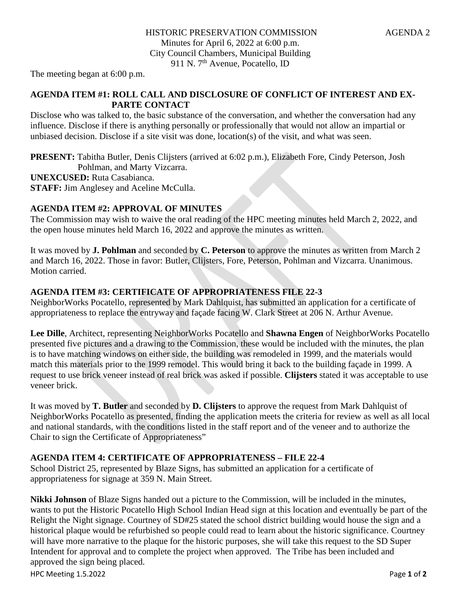The meeting began at 6:00 p.m.

# **AGENDA ITEM #1: ROLL CALL AND DISCLOSURE OF CONFLICT OF INTEREST AND EX-PARTE CONTACT**

Disclose who was talked to, the basic substance of the conversation, and whether the conversation had any influence. Disclose if there is anything personally or professionally that would not allow an impartial or unbiased decision. Disclose if a site visit was done, location(s) of the visit, and what was seen.

**PRESENT:** Tabitha Butler, Denis Clijsters (arrived at 6:02 p.m.), Elizabeth Fore, Cindy Peterson, Josh Pohlman, and Marty Vizcarra. **UNEXCUSED:** Ruta Casabianca.

**STAFF:** Jim Anglesey and Aceline McCulla.

# **AGENDA ITEM #2: APPROVAL OF MINUTES**

The Commission may wish to waive the oral reading of the HPC meeting minutes held March 2, 2022, and the open house minutes held March 16, 2022 and approve the minutes as written.

It was moved by **J. Pohlman** and seconded by **C. Peterson** to approve the minutes as written from March 2 and March 16, 2022. Those in favor: Butler, Clijsters, Fore, Peterson, Pohlman and Vizcarra. Unanimous. Motion carried.

# **AGENDA ITEM #3: CERTIFICATE OF APPROPRIATENESS FILE 22-3**

NeighborWorks Pocatello, represented by Mark Dahlquist, has submitted an application for a certificate of appropriateness to replace the entryway and façade facing W. Clark Street at 206 N. Arthur Avenue.

**Lee Dille**, Architect, representing NeighborWorks Pocatello and **Shawna Engen** of NeighborWorks Pocatello presented five pictures and a drawing to the Commission, these would be included with the minutes, the plan is to have matching windows on either side, the building was remodeled in 1999, and the materials would match this materials prior to the 1999 remodel. This would bring it back to the building façade in 1999. A request to use brick veneer instead of real brick was asked if possible. **Clijsters** stated it was acceptable to use veneer brick.

It was moved by **T. Butler** and seconded by **D. Clijsters** to approve the request from Mark Dahlquist of NeighborWorks Pocatello as presented, finding the application meets the criteria for review as well as all local and national standards, with the conditions listed in the staff report and of the veneer and to authorize the Chair to sign the Certificate of Appropriateness"

# **AGENDA ITEM 4: CERTIFICATE OF APPROPRIATENESS – FILE 22-4**

School District 25, represented by Blaze Signs, has submitted an application for a certificate of appropriateness for signage at 359 N. Main Street.

**Nikki Johnson** of Blaze Signs handed out a picture to the Commission, will be included in the minutes, wants to put the Historic Pocatello High School Indian Head sign at this location and eventually be part of the Relight the Night signage. Courtney of SD#25 stated the school district building would house the sign and a historical plaque would be refurbished so people could read to learn about the historic significance. Courtney will have more narrative to the plaque for the historic purposes, she will take this request to the SD Super Intendent for approval and to complete the project when approved. The Tribe has been included and approved the sign being placed.

HPC Meeting 1.5.2022 Page **1** of **2**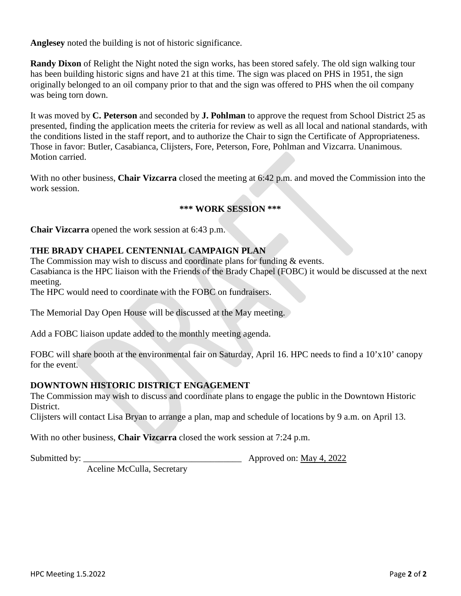**Anglesey** noted the building is not of historic significance.

**Randy Dixon** of Relight the Night noted the sign works, has been stored safely. The old sign walking tour has been building historic signs and have 21 at this time. The sign was placed on PHS in 1951, the sign originally belonged to an oil company prior to that and the sign was offered to PHS when the oil company was being torn down.

It was moved by **C. Peterson** and seconded by **J. Pohlman** to approve the request from School District 25 as presented, finding the application meets the criteria for review as well as all local and national standards, with the conditions listed in the staff report, and to authorize the Chair to sign the Certificate of Appropriateness. Those in favor: Butler, Casabianca, Clijsters, Fore, Peterson, Fore, Pohlman and Vizcarra. Unanimous. Motion carried.

With no other business, **Chair Vizcarra** closed the meeting at 6:42 p.m. and moved the Commission into the work session.

# **\*\*\* WORK SESSION \*\*\***

**Chair Vizcarra** opened the work session at 6:43 p.m.

# **THE BRADY CHAPEL CENTENNIAL CAMPAIGN PLAN**

The Commission may wish to discuss and coordinate plans for funding & events.

Casabianca is the HPC liaison with the Friends of the Brady Chapel (FOBC) it would be discussed at the next meeting.

The HPC would need to coordinate with the FOBC on fundraisers.

The Memorial Day Open House will be discussed at the May meeting.

Add a FOBC liaison update added to the monthly meeting agenda.

FOBC will share booth at the environmental fair on Saturday, April 16. HPC needs to find a 10'x10' canopy for the event.

## **DOWNTOWN HISTORIC DISTRICT ENGAGEMENT**

The Commission may wish to discuss and coordinate plans to engage the public in the Downtown Historic District.

Clijsters will contact Lisa Bryan to arrange a plan, map and schedule of locations by 9 a.m. on April 13.

With no other business, **Chair Vizcarra** closed the work session at 7:24 p.m.

Submitted by: \_\_\_\_\_\_\_\_\_\_\_\_\_\_\_\_\_\_\_\_\_\_\_\_\_\_\_\_\_\_\_\_\_\_\_ Approved on: May 4, 2022

Aceline McCulla, Secretary